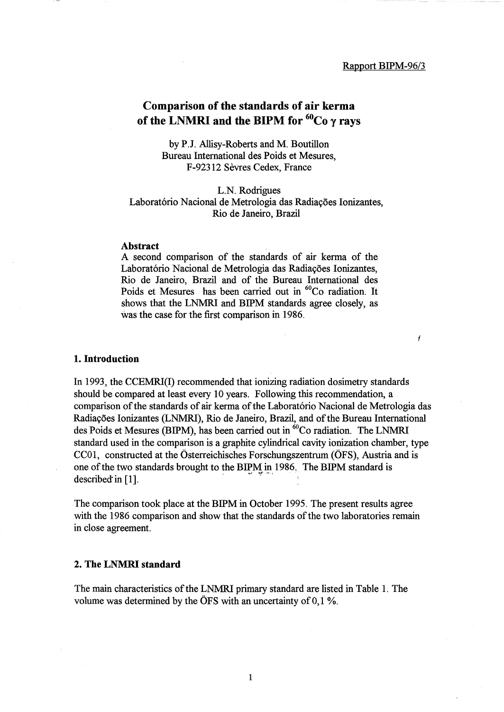$\boldsymbol{f}$ 

# Comparison of the standards of air kerma of the LNMRI and the BIPM for  ${}^{60}Co$   $\gamma$  rays

by P.J. Allisy-Roberts and M. Boutillon Bureau International des Poids et Mesures, F-92312 Sevres Cedex, France

L.N. Rodrigues Laboratório Nacional de Metrologia das Radiações Ionizantes, Rio de Janeiro, Brazil

#### Abstract

A second comparison of the standards of air kerma of the Laboratório Nacional de Metrologia das Radiações Ionizantes, Rio de Janeiro, Brazil and of the Bureau International des Poids et Mesures has been carried out in <sup>60</sup>Co radiation. It shows that the LNMRI and BIPM standards agree closely, as was the case for the first comparison in 1986.

#### 1. Introduction

In 1993, the CCEMRI(I) recommended that ionizing radiation dosimetry standards should be compared at least every 10 years. Following this recommendation, a comparison of the standards of air kerma of the Laboratório Nacional de Metrologia das Radiayoes Ionizantes (LNMRI), Rio de Janeiro, Brazil, and of the Bureau International des Poids et Mesures (BIPM), has been carried out in <sup>60</sup>Co radiation. The LNMRI standard used in the comparison is a graphite cylindrical cavity ionization chamber, type CCOl, constructed at the Osterreichisches Forschungszentrum (OFS), Austria and is one of the two standards brought to the BIPM in 1986, The BIPM standard is CCOT, constructed at the Osterreferisches Forschungsz<br>one of the two standards brought to the BIPM in 1986,<br>described in [1].

The comparison took place at the BIPM in October 1995. The present results agree with the 1986 comparison and show that the standards of the two laboratories remain in close agreement.

### 2. The LNMRI standard

The main characteristics of the LNMRI primary standard are listed in Table 1. The volume was determined by the  $\overline{OFS}$  with an uncertainty of 0,1 %.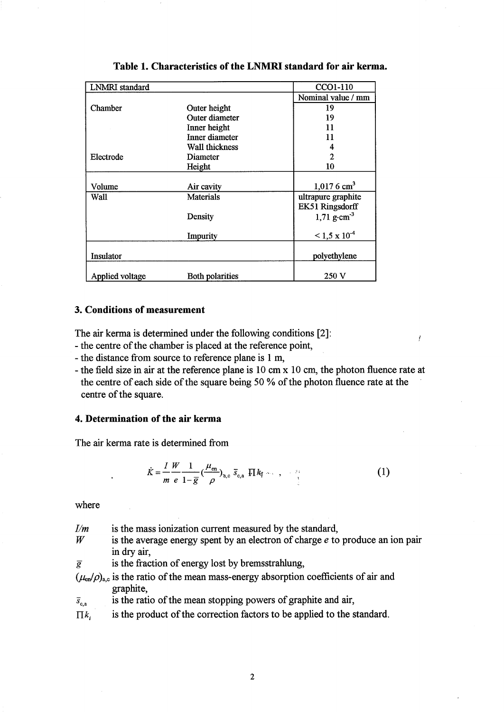| <b>LNMRI</b> standard |                        | CCO1-110                  |
|-----------------------|------------------------|---------------------------|
|                       |                        | Nominal value / mm        |
| Chamber               | Outer height           | 19                        |
|                       | Outer diameter         | 19                        |
|                       | Inner height           | 11                        |
|                       | Inner diameter         | 11                        |
|                       | Wall thickness         |                           |
| Electrode             | Diameter               | $\mathbf{2}$              |
|                       | Height                 | 10                        |
|                       |                        |                           |
| Volume                | Air cavity             | $1,0176$ cm <sup>3</sup>  |
| Wall                  | <b>Materials</b>       | ultrapure graphite        |
|                       |                        | EK51 Ringsdorff           |
|                       | Density                | 1,71 $g \cdot cm^{-3}$    |
|                       | Impurity               | $\leq 1.5 \times 10^{-4}$ |
| Insulator             |                        | polyethylene              |
| Applied voltage       | <b>Both polarities</b> | 250 V                     |

## **3. Conditions of measurement**

The air kerma is determined under the following conditions [2]:

- the centre of the chamber is placed at the reference point,
- the distance from source to reference plane is 1 m,
- the field size in air at the reference plane is 10 cm x 10 cm, the photon fluence rate at the centre of each side of the square being 50 % of the photon fluence rate at the centre of the square.

 $\rlap{.}^{\prime}$ 

## **4. Determination of the air kerma**

The air kerma rate is determined from

$$
\dot{K} = \frac{I}{m} \frac{W}{e} \frac{1}{1 - \overline{g}} \left( \frac{\mu_{\text{en}}}{\rho} \right)_{\mathbf{a}, \mathbf{c}} \overline{s}_{\mathbf{c}, \mathbf{a}} \cdot \prod_{\mathbf{a}} k_{\mathbf{f}} \cdots , \quad \dots \quad (1)
$$

where

| I/m                  | is the mass ionization current measured by the standard,                                                     |
|----------------------|--------------------------------------------------------------------------------------------------------------|
| W                    | is the average energy spent by an electron of charge $e$ to produce an ion pair                              |
|                      | in dry air,                                                                                                  |
| $\overline{g}$       | is the fraction of energy lost by bremsstrahlung,                                                            |
|                      | $(\mu_{en}/\rho)_{a,c}$ is the ratio of the mean mass-energy absorption coefficients of air and<br>graphite, |
| $\overline{s}_{c,a}$ | is the ratio of the mean stopping powers of graphite and air,                                                |
| $\Pi k_i$            | is the product of the correction factors to be applied to the standard.                                      |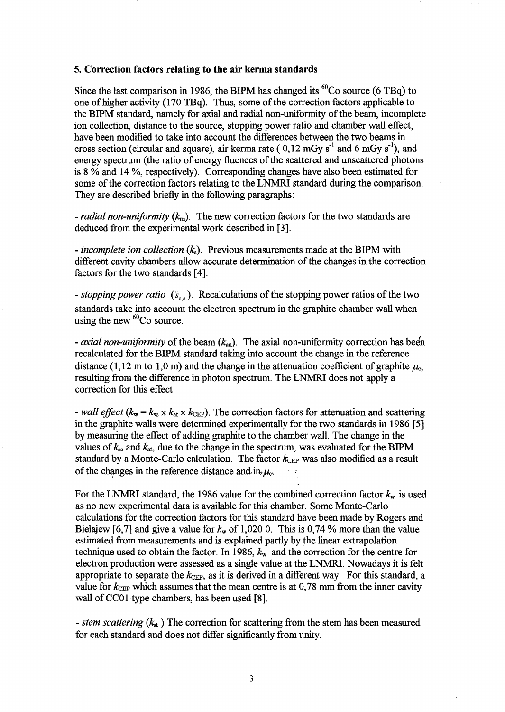#### 5. **Correction factors relating to the air kerma standards**

Since the last comparison in 1986, the BIPM has changed its  ${}^{60}$ Co source (6 TBq) to one of higher activity (170 TBq). Thus, some of the correction factors applicable to the BIPM standard, namely for axial and radial non-uniformity of the beam, incomplete ion collection, distance to the source, stopping power ratio and chamber wall effect, have been modified to take into account the differences between the two beams in cross section (circular and square), air kerma rate ( $0.12 \text{ mGy s}^{-1}$  and 6 mGy s<sup>-1</sup>), and energy spectrum (the ratio of energy fluences of the scattered and unscattered photons is 8 % and 14 %, respectively). Corresponding changes have also been estimated for some of the correction factors relating to the LNMRI standard during the comparison. They are described briefly in the following paragraphs:

*- radial non-uniformity (km).* The new correction factors for the two standards are deduced from the experimental work described in [3].

*- incomplete ion collection (ks).* Previous measurements made at the BIPM with different cavity chambers allow accurate determination of the changes in the correction factors for the two standards [4].

*- stopping power ratio* ( $\bar{s}_{e,a}$ ). Recalculations of the stopping power ratios of the two standards take into account the electron spectrum in the graphite chamber wall when using the new  ${}^{60}Co$  source.

*- axial non-uniformity* of the beam  $(k_{an})$ . The axial non-uniformity correction has been recalculated for the BIPM standard taking into account the change in the reference distance (1,12 m to 1,0 m) and the change in the attenuation coefficient of graphite  $\mu_c$ , resulting from the difference in photon spectrum. The LNMRI does not apply a correction for this effect.

*- wall effect* ( $k_w = k_{sc} \times k_{at} \times k_{CEP}$ ). The correction factors for attenuation and scattering in the graphite walls were determined experimentally for the two standards in 1986 [5] by measuring the effect of adding graphite to the chamber wall. The change in the values of  $k_{\rm sc}$  and  $k_{\rm at}$ , due to the change in the spectrum, was evaluated for the BIPM standard by a Monte-Carlo calculation. The factor  $k_{\text{CEP}}$  was also modified as a result of the changes in the reference distance and  $i\mathbf{r}, \mu_c$ .

For the LNMRI standard, the 1986 value for the combined correction factor  $k_w$  is used as no new experimental data is available for this chamber. Some Monte-Carlo calculations for the correction factors for this standard have been made by Rogers and Bielajew [6,7] and give a value for  $k_w$  of 1,020 0. This is 0,74 % more than the value estimated from measurements and is explained partly by the linear extrapolation technique used to obtain the factor. In 1986,  $k_w$  and the correction for the centre for electron production were assessed as a single value at the LNMRI. Nowadays it is felt appropriate to separate the  $k_{\text{CEP}}$ , as it is derived in a different way. For this standard, a value for  $k_{\text{CEP}}$  which assumes that the mean centre is at 0,78 mm from the inner cavity wall of CC01 type chambers, has been used [8].

*- stem scattering* ( $k_{st}$ ) The correction for scattering from the stem has been measured for each standard and does not differ significantly from unity.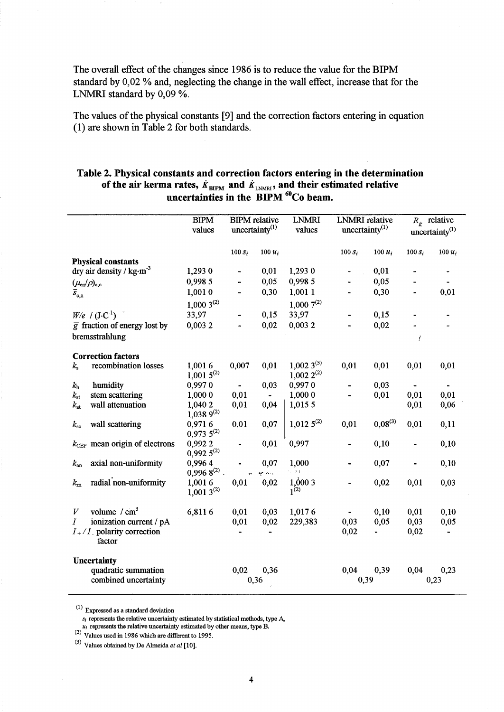The overall effect of the changes since 1986 is to reduce the value for the BIPM standard by 0,02 % and, neglecting the change in the wall effect, increase that for the LNMRI standard by 0,09 %.

The values of the physical constants [9] and the correction factors entering in equation (1) are shown in Table 2 for both standards.

# Table 2. Physical constants and correction factors entering in the determination of the air kerma rates,  $\dot{K}_{\text{BIPM}}$  and  $\dot{K}_{\text{LNMRI}}$ , and their estimated relative uncertainties in the  $BIPM<sup>o</sup>Co beam.$

|                               |                                                                           | <b>BIPM</b>              | <b>BIPM</b> relative       |           | <b>LNMRI</b>   | <b>LNMRI</b> relative      |              |                              | $R_{\dot{K}}$ relative |
|-------------------------------|---------------------------------------------------------------------------|--------------------------|----------------------------|-----------|----------------|----------------------------|--------------|------------------------------|------------------------|
|                               |                                                                           | values                   | uncertainty <sup>(1)</sup> |           | values         | uncertainty <sup>(1)</sup> |              |                              | uncertainty $(1)$      |
|                               |                                                                           |                          |                            |           |                |                            |              |                              |                        |
|                               |                                                                           |                          | $100 s_i$                  | $100 u_i$ |                | $100 s_i$                  | $100 u_i$    | $100 s_i$                    | $100 u_i$              |
|                               | <b>Physical constants</b><br>dry air density / $\text{kg}\cdot\text{m}^3$ | 1,293 0                  |                            | 0,01      | 1,293 0        |                            | 0,01         |                              |                        |
|                               |                                                                           | 0,998 5                  | ÷,                         | 0,05      | 0,998 5        | ÷.                         | 0,05         |                              | $\frac{1}{2}$          |
|                               | $(\mu_{\text{\rm en}}/\rho)_{\text{a,c}}$                                 | 1,0010                   | $\blacksquare$             | 0,30      | 1,001 1        |                            | 0,30         | $\blacksquare$               | 0,01                   |
| $\overline{s}_{\mathrm{c,a}}$ |                                                                           |                          |                            |           |                |                            |              |                              |                        |
|                               |                                                                           | $1,0003^{(2)}$           |                            |           | $1,0007^{(2)}$ |                            |              |                              |                        |
|                               | $W/e$ / $(J \cdot C^{-1})$                                                | 33,97                    |                            | 0,15      | 33,97          |                            | 0,15         |                              |                        |
|                               | $\overline{g}$ fraction of energy lost by                                 | 0,0032                   |                            | 0,02      | 0,0032         |                            | 0,02         |                              |                        |
|                               | bremsstrahlung                                                            |                          |                            |           |                |                            |              | Ĭ                            |                        |
|                               | <b>Correction factors</b>                                                 |                          |                            |           |                |                            |              |                              |                        |
| $k_{\rm s}$                   | recombination losses                                                      | 1,0016                   | 0,007                      | 0,01      | $1,0023^{(3)}$ | 0,01                       | 0,01         | 0,01                         | 0,01                   |
|                               |                                                                           | $1,0015^{(2)}$           |                            |           | $1,0022^{(2)}$ |                            |              |                              |                        |
| $k_{\rm h}$                   | humidity                                                                  | 0,9970                   | $\overline{\phantom{a}}$   | 0,03      | 0,9970         |                            | 0,03         | $\blacksquare$               |                        |
| $k_{\rm st}$                  | stem scattering                                                           | 1,000 0                  | 0,01                       |           | 1,000 0        |                            | 0,01         | 0,01                         | 0,01                   |
| $k_{\rm at}$                  | wall attenuation                                                          | 1,040 2                  | 0,01                       | 0,04      | 1,015 5        |                            |              | 0,01                         | 0,06                   |
|                               |                                                                           | $1,0389^{(2)}$           |                            |           |                |                            |              |                              |                        |
| $k_{\rm sc}$                  | wall scattering                                                           | 0,9716<br>$0,9735^{(2)}$ | 0,01                       | 0,07      | $1,0125^{(2)}$ | 0,01                       | $0.08^{(3)}$ | 0,01                         | 0,11                   |
|                               | $k_{\text{CEP}}$ mean origin of electrons                                 | 0,9922                   |                            | 0,01      | 0,997          |                            | 0,10         | $\blacksquare$               | 0,10                   |
|                               |                                                                           | $0,9925^{(2)}$           |                            |           |                |                            |              |                              |                        |
| $k_{\rm an}$                  | axial non-uniformity                                                      | 0,9964                   |                            | 0,07      | 1,000          |                            | 0,07         | $\qquad \qquad \blacksquare$ | 0,10                   |
|                               |                                                                           | $0,9968^{(2)}$ .         |                            | ge voor   | $7 - 24$       |                            |              |                              |                        |
| $k_{\rm m}$                   | radial non-uniformity                                                     | 1,0016                   | 0,01                       | 0,02      | 1,0003         |                            | 0,02         | 0,01                         | 0,03                   |
|                               |                                                                           | $1,0013^{(2)}$           |                            |           | $1^{(2)}$      |                            |              |                              |                        |
| V                             | volume $\ / \ cm^3$                                                       | 6,8116                   | 0,01                       | 0,03      | 1,0176         |                            | 0,10         | 0,01                         | 0,10                   |
| Ι                             | ionization current / pA                                                   |                          | 0,01                       | 0,02      | 229,383        | 0,03                       | 0,05         | 0,03                         | 0,05                   |
|                               | $I_{+}/I_{-}$ polarity correction                                         |                          |                            |           |                | 0,02                       |              | 0,02                         | $\blacksquare$         |
|                               | factor                                                                    |                          |                            |           |                |                            |              |                              |                        |
| <b>Uncertainty</b>            |                                                                           |                          |                            |           |                |                            |              |                              |                        |
|                               | quadratic summation                                                       |                          | 0,02                       | 0,36      |                | 0,04                       | 0,39         | 0,04                         | 0,23                   |
|                               | combined uncertainty                                                      |                          | 0,36                       |           |                | 0,39                       |              |                              | 0,23                   |
|                               |                                                                           |                          |                            |           |                |                            |              |                              |                        |

 $(1)$  Expressed as a standard deviation

 $u_i$  represents the relative uncertainty estimated by other means, type B.

 $(2)$  Values used in 1986 which are different to 1995.

(3) Values obtained by De Almeida *et al [10].* 

*Si* represents the relative uncertainty estimated by statistical methods, type A,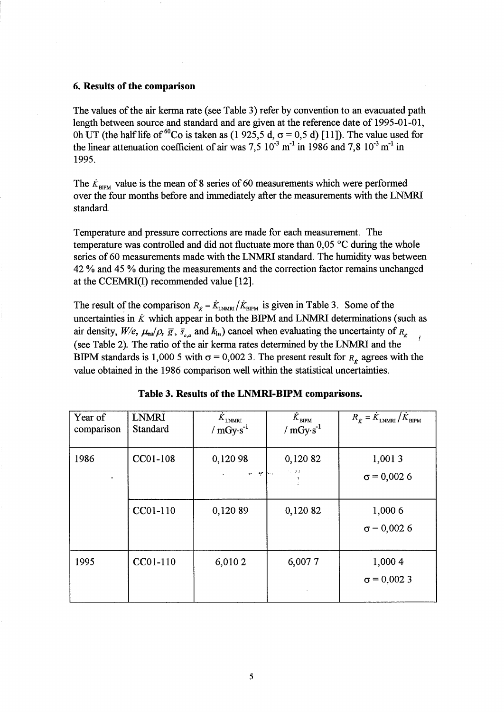#### 6. Results of the comparison

The values of the air kerma rate (see Table 3) refer by convention to an evacuated path length between source and standard and are given at the reference date of 1995-01-01, Oh UT (the half life of <sup>60</sup>Co is taken as (1 925,5 d,  $\sigma$  = 0,5 d) [11]). The value used for the linear attenuation coefficient of air was  $7.5 \times 10^{-3}$  m<sup>-1</sup> in 1986 and 7,8  $10^{-3}$  m<sup>-1</sup> in 1995.

The  $\dot{K}_{\text{BIPM}}$  value is the mean of 8 series of 60 measurements which were performed over the four months before and immediately after the measurements with the LNMRI standard.

Temperature and pressure corrections are made for each measurement. The temperature was controlled and did not fluctuate more than 0,05 °C during the whole series of 60 measurements made with the LNMRI standard. The humidity was between 42 % and 45 % during the measurements and the correction factor remains unchanged at the CCEMRI(I) recommended value [12].

The result of the comparison  $R_{\vec{k}} = \dot{K}_{\text{LNMRI}} / \dot{K}_{\text{BIPM}}$  is given in Table 3. Some of the uncertainties in  $\dot{K}$  which appear in both the BIPM and LNMRI determinations (such as air density,  $W/e$ ,  $\mu_{en}/\rho$ ,  $\bar{g}$ ,  $\bar{s}_{c,a}$  and  $k_h$ ) cancel when evaluating the uncertainty of  $R_k$ (see Table 2). The ratio of the air kerma rates determined by the LNMRI and the BIPM standards is 1,000 5 with  $\sigma = 0.002$  3. The present result for  $R_{\hat{k}}$  agrees with the value obtained in the 1986 comparison well within the statistical uncertainties.

| Year of<br>comparison | <b>LNMRI</b><br>Standard | $\tilde{\boldsymbol{K}}_{\text{LNNRI}}$<br>/ $mGy·s^{-1}$ | $\dot{K}_{\texttt{BIPM}}$<br>/ $mGy s-1$                   | $R_{\vec{k}} = \dot{K}_{\text{LNMRI}} / \dot{K}_{\text{BIPM}}$ |
|-----------------------|--------------------------|-----------------------------------------------------------|------------------------------------------------------------|----------------------------------------------------------------|
| 1986                  | CC01-108                 | 0,120 98<br>where they                                    | 0,120 82<br>$\mathcal{I}_\bullet=\mathcal{I}(\mathcal{I})$ | 1,0013<br>$\sigma$ = 0,002 6                                   |
|                       | CC01-110                 | 0,120 89                                                  | 0,120 82                                                   | 1,000 6<br>$\sigma$ = 0,002 6                                  |
| 1995                  | CC01-110                 | 6,010 2                                                   | 6,0077                                                     | 1,000 4<br>$\sigma = 0,0023$                                   |

|  |  | Table 3. Results of the LNMRI-BIPM comparisons. |  |
|--|--|-------------------------------------------------|--|
|--|--|-------------------------------------------------|--|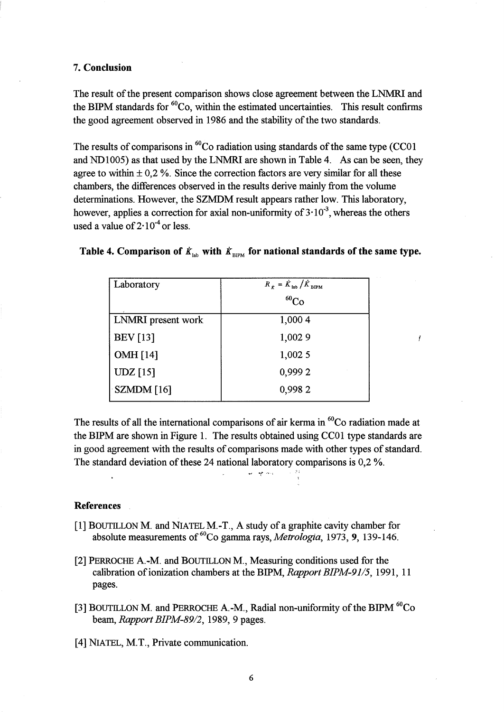## 7. **Conclusion**

The result of the present comparison shows close agreement between the LNMRI and the BIPM standards for  ${}^{60}Co$ , within the estimated uncertainties. This result confirms the good agreement observed in 1986 and the stability of the two standards.

The results of comparisons in  ${}^{60}Co$  radiation using standards of the same type (CCO1) and NDlO05) as that used by the LNMRI are shown in Table 4. As can be seen, they agree to within  $\pm$  0,2 %. Since the correction factors are very similar for all these chambers, the differences observed in the results derive mainly from the volume determinations. However, the SZMDM result appears rather low. This laboratory, however, applies a correction for axial non-uniformity of  $3 \cdot 10^{-3}$ , whereas the others used a value of  $2 \cdot 10^{-4}$  or less.

|  |  | Table 4. Comparison of $\dot{K}_{lab}$ with $\dot{K}_{BIPM}$ for national standards of the same type. |  |
|--|--|-------------------------------------------------------------------------------------------------------|--|
|--|--|-------------------------------------------------------------------------------------------------------|--|

| Laboratory                       | $R_{\dot{K}} = \dot{K}_{\text{lab}} / \dot{K}_{\text{BIPM}}$ |
|----------------------------------|--------------------------------------------------------------|
|                                  | $^{60}Co$                                                    |
| LNMRI present work               | 1,000 4                                                      |
| <b>BEV</b> [13]                  | 1,002 9                                                      |
| <b>OMH</b> [14]                  | 1,002 5                                                      |
| UDZ[15]                          | 0,9992                                                       |
| $\sum_{i=1}^{\infty}$ SZMDM [16] | 0,9982                                                       |

 $\mathbf{r}$ 

The results of all the international comparisons of air kerma in  ${}^{60}Co$  radiation made at the BIPM are shown in Figure 1. The results obtained using CC01 type standards are in good agreement with the results of comparisons made with other types of standard. The standard deviation of these 24 national laboratory comparisons is 0,2 %.

#### **References**

- [1] BOUTILLON M. and NIATEL M. -T., A study of a graphite cavity chamber for absolute measurements of <sup>60</sup>Co gamma rays, *Metrologia*, 1973, 9, 139-146.
- [2] PERROCHE A.-M. and BOUTILLON M., Measuring conditions used for the calibration of ionization chambers at the BIPM, *Rapport BIPM-91/5,* 1991, 11 pages.
- [3] BOUTILLON M. and PERROCHE A.-M., Radial non-uniformity of the BIPM  ${}^{60}Co$ beam, *Rapport BIPM-89/2,* 1989,9 pages.
- [4] NIATEL, M.T., Private communication.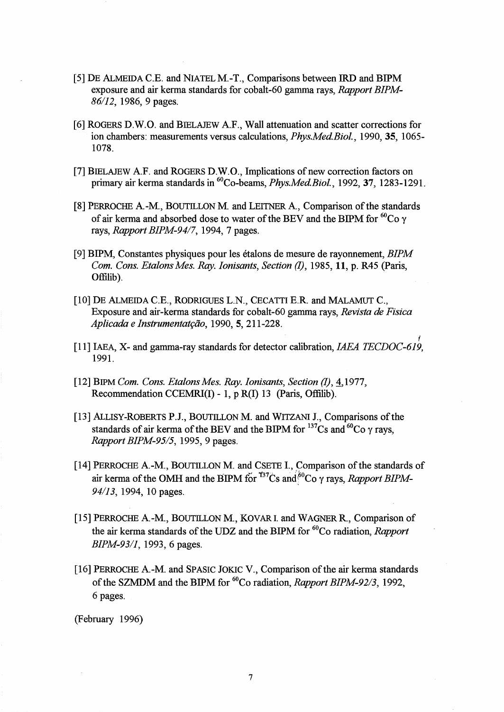- [5] DE ALMEIDA C.E. and NIATELM.-T., Comparisons between IRD and BIPM exposure and air kerma standards for cobalt-60 gamma rays, *Rapport BIPM-*86/12, 1986, 9 pages.
- [6] ROGERS D.W.O. and BIELAJEW AF., Wall attenuation and scatter corrections for ion chambers: measurements versus calculations, *Phys.Med.Biol.*, 1990, 35, 1065-1078.
- [7] BIELAJEW AF. and ROGERS D.W.O., Implications of new correction factors on primary air kerma standards in 6°Co-beams, *Phys.Med.Biol.,* 1992,37, 1283-1291.
- [8] PERROCHE A.-M., BOUTILLON M. and LEITNER A., Comparison of the standards of air kerma and absorbed dose to water of the BEV and the BIPM for  ${}^{60}Co$  y rays, *Rapport BIPM-94/7,* 1994, 7 pages.
- [9] BIPM, Constantes physiques pour les etalons de mesure de rayonnement, *BIPM Com. Cons. Etalons Mes. Ray. Ionisants, Section (I), 1985, 11, p. R45 (Paris,* Offilib).
- [10] DE ALMEIDA C.E., RODRIGUES L.N., CECATTI E.R. and MALAMUT C., Exposure and air-kerma standards for cobalt-60 gamma rays, *Revista* de *Fisica Aplicada e Instrumentat{:iio,* 1990,5,211-228.
- f [11] IAEA, X- and gamma-ray standards for detector calibration, *IAEA TECDOC-619,*  1991.
- [12] BIPM *Com. Cons. Etalons Mes. Ray. Ionisants, Section (I), 4,1977,* Recommendation CCEMRI(I) - 1, p R(I) 13 (Paris, Offilib).
- [13] ALLISY-ROBERTS P.J., BOUTILLON M. and WITZANI J., Comparisons of the standards of air kerma of the BEV and the BIPM for  $^{137}Cs$  and  $^{60}Co$   $\gamma$  rays, *Rapport BIPM-95/5,* 1995,9 pages.
- [14] PERROCHE A.-M., BOUTILLON M. and CSETE I., Comparison of the standards of air kerma of the OMH and the BIPM for  $^{137}$ Cs and  $^{50}$ Co  $\gamma$  rays, *Rapport BIPM*-94/13, 1994, 10 pages.
- [15] PERROCHE A.-M., BOUTILLON M., KOVAR I. and WAGNER R., Comparison of the air kerma standards of the UDZ and the BIPM for 60Co radiation, *Rapport BIPM-93/1*, 1993, 6 pages.
- [16] PERROCHE A.-M. and SPASIC JOKIC V., Comparison of the air kerma standards of the SZMDM and the BIPM for 60Co radiation, *Rapport BIPM-92/3,* 1992, 6 pages.

(February 1996)